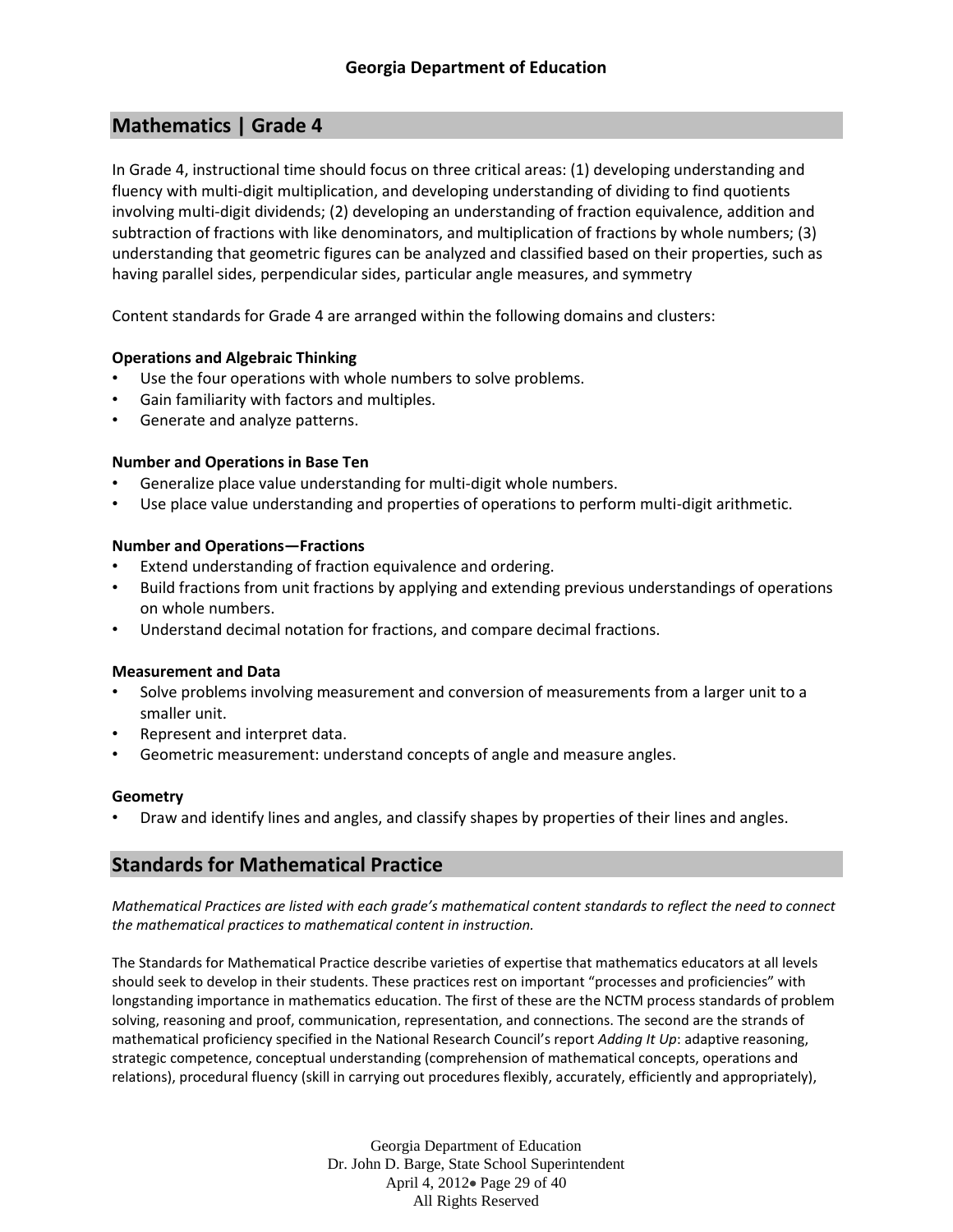# **Mathematics | Grade 4**

In Grade 4, instructional time should focus on three critical areas: (1) developing understanding and fluency with multi-digit multiplication, and developing understanding of dividing to find quotients involving multi-digit dividends; (2) developing an understanding of fraction equivalence, addition and subtraction of fractions with like denominators, and multiplication of fractions by whole numbers; (3) understanding that geometric figures can be analyzed and classified based on their properties, such as having parallel sides, perpendicular sides, particular angle measures, and symmetry

Content standards for Grade 4 are arranged within the following domains and clusters:

## **Operations and Algebraic Thinking**

- Use the four operations with whole numbers to solve problems.
- Gain familiarity with factors and multiples.
- Generate and analyze patterns.

## **Number and Operations in Base Ten**

- Generalize place value understanding for multi-digit whole numbers.
- Use place value understanding and properties of operations to perform multi-digit arithmetic.

## **Number and Operations—Fractions**

- Extend understanding of fraction equivalence and ordering.
- Build fractions from unit fractions by applying and extending previous understandings of operations on whole numbers.
- Understand decimal notation for fractions, and compare decimal fractions.

## **Measurement and Data**

- Solve problems involving measurement and conversion of measurements from a larger unit to a smaller unit.
- Represent and interpret data.
- Geometric measurement: understand concepts of angle and measure angles.

## **Geometry**

• Draw and identify lines and angles, and classify shapes by properties of their lines and angles.

## **Standards for Mathematical Practice**

*Mathematical Practices are listed with each grade's mathematical content standards to reflect the need to connect the mathematical practices to mathematical content in instruction.*

The Standards for Mathematical Practice describe varieties of expertise that mathematics educators at all levels should seek to develop in their students. These practices rest on important "processes and proficiencies" with longstanding importance in mathematics education. The first of these are the NCTM process standards of problem solving, reasoning and proof, communication, representation, and connections. The second are the strands of mathematical proficiency specified in the National Research Council's report *Adding It Up*: adaptive reasoning, strategic competence, conceptual understanding (comprehension of mathematical concepts, operations and relations), procedural fluency (skill in carrying out procedures flexibly, accurately, efficiently and appropriately),

> Georgia Department of Education Dr. John D. Barge, State School Superintendent April 4, 2012 Page 29 of 40 All Rights Reserved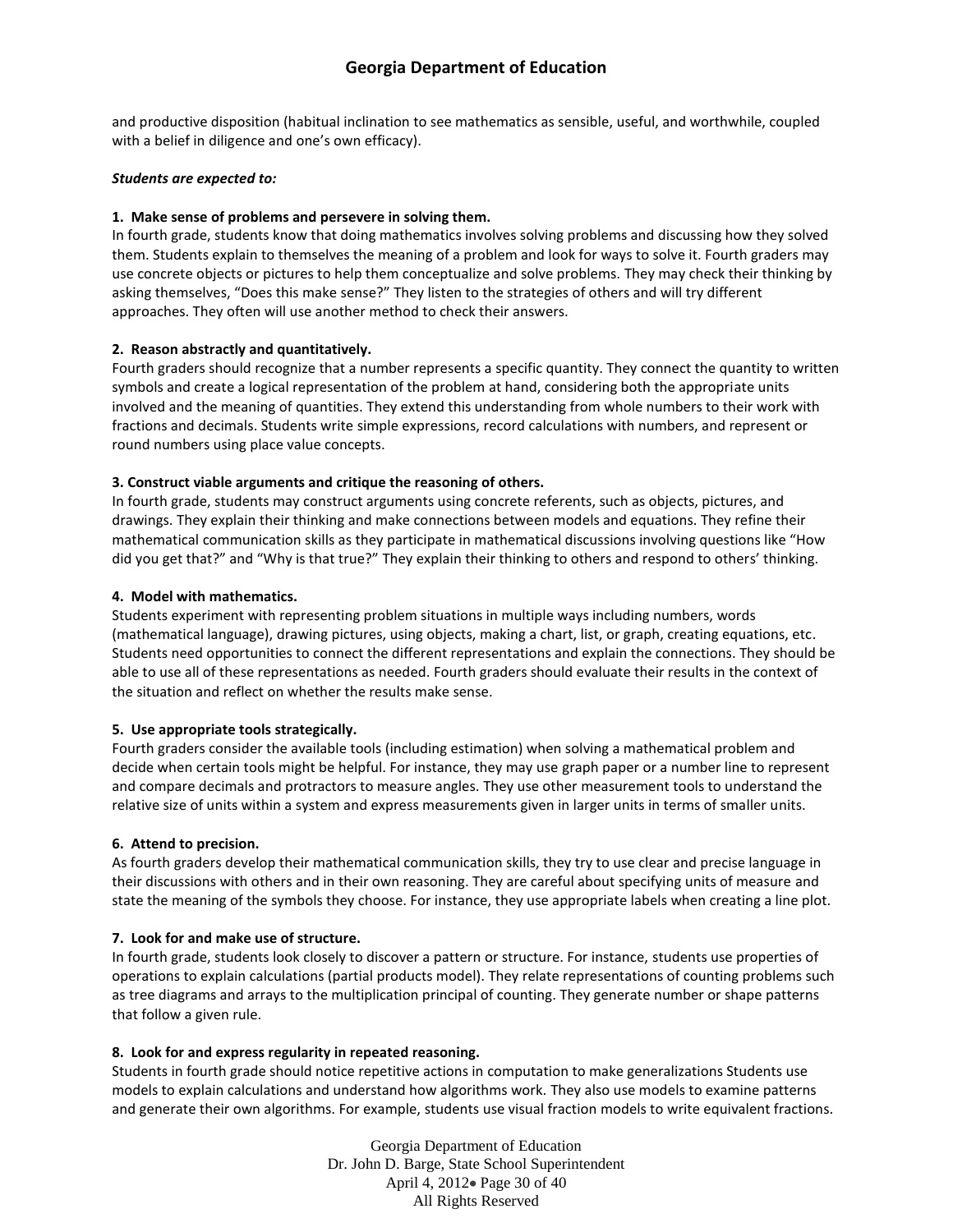and productive disposition (habitual inclination to see mathematics as sensible, useful, and worthwhile, coupled with a belief in diligence and one's own efficacy).

#### *Students are expected to:*

#### **1. Make sense of problems and persevere in solving them.**

In fourth grade, students know that doing mathematics involves solving problems and discussing how they solved them. Students explain to themselves the meaning of a problem and look for ways to solve it. Fourth graders may use concrete objects or pictures to help them conceptualize and solve problems. They may check their thinking by asking themselves, "Does this make sense?" They listen to the strategies of others and will try different approaches. They often will use another method to check their answers.

#### **2. Reason abstractly and quantitatively.**

Fourth graders should recognize that a number represents a specific quantity. They connect the quantity to written symbols and create a logical representation of the problem at hand, considering both the appropriate units involved and the meaning of quantities. They extend this understanding from whole numbers to their work with fractions and decimals. Students write simple expressions, record calculations with numbers, and represent or round numbers using place value concepts.

#### **3. Construct viable arguments and critique the reasoning of others.**

In fourth grade, students may construct arguments using concrete referents, such as objects, pictures, and drawings. They explain their thinking and make connections between models and equations. They refine their mathematical communication skills as they participate in mathematical discussions involving questions like "How did you get that?" and "Why is that true?" They explain their thinking to others and respond to others' thinking.

#### **4. Model with mathematics.**

Students experiment with representing problem situations in multiple ways including numbers, words (mathematical language), drawing pictures, using objects, making a chart, list, or graph, creating equations, etc. Students need opportunities to connect the different representations and explain the connections. They should be able to use all of these representations as needed. Fourth graders should evaluate their results in the context of the situation and reflect on whether the results make sense.

#### **5. Use appropriate tools strategically.**

Fourth graders consider the available tools (including estimation) when solving a mathematical problem and decide when certain tools might be helpful. For instance, they may use graph paper or a number line to represent and compare decimals and protractors to measure angles. They use other measurement tools to understand the relative size of units within a system and express measurements given in larger units in terms of smaller units.

#### **6. Attend to precision.**

As fourth graders develop their mathematical communication skills, they try to use clear and precise language in their discussions with others and in their own reasoning. They are careful about specifying units of measure and state the meaning of the symbols they choose. For instance, they use appropriate labels when creating a line plot.

## **7. Look for and make use of structure.**

In fourth grade, students look closely to discover a pattern or structure. For instance, students use properties of operations to explain calculations (partial products model). They relate representations of counting problems such as tree diagrams and arrays to the multiplication principal of counting. They generate number or shape patterns that follow a given rule.

#### **8. Look for and express regularity in repeated reasoning.**

Students in fourth grade should notice repetitive actions in computation to make generalizations Students use models to explain calculations and understand how algorithms work. They also use models to examine patterns and generate their own algorithms. For example, students use visual fraction models to write equivalent fractions.

> Georgia Department of Education Dr. John D. Barge, State School Superintendent April 4, 2012 Page 30 of 40 All Rights Reserved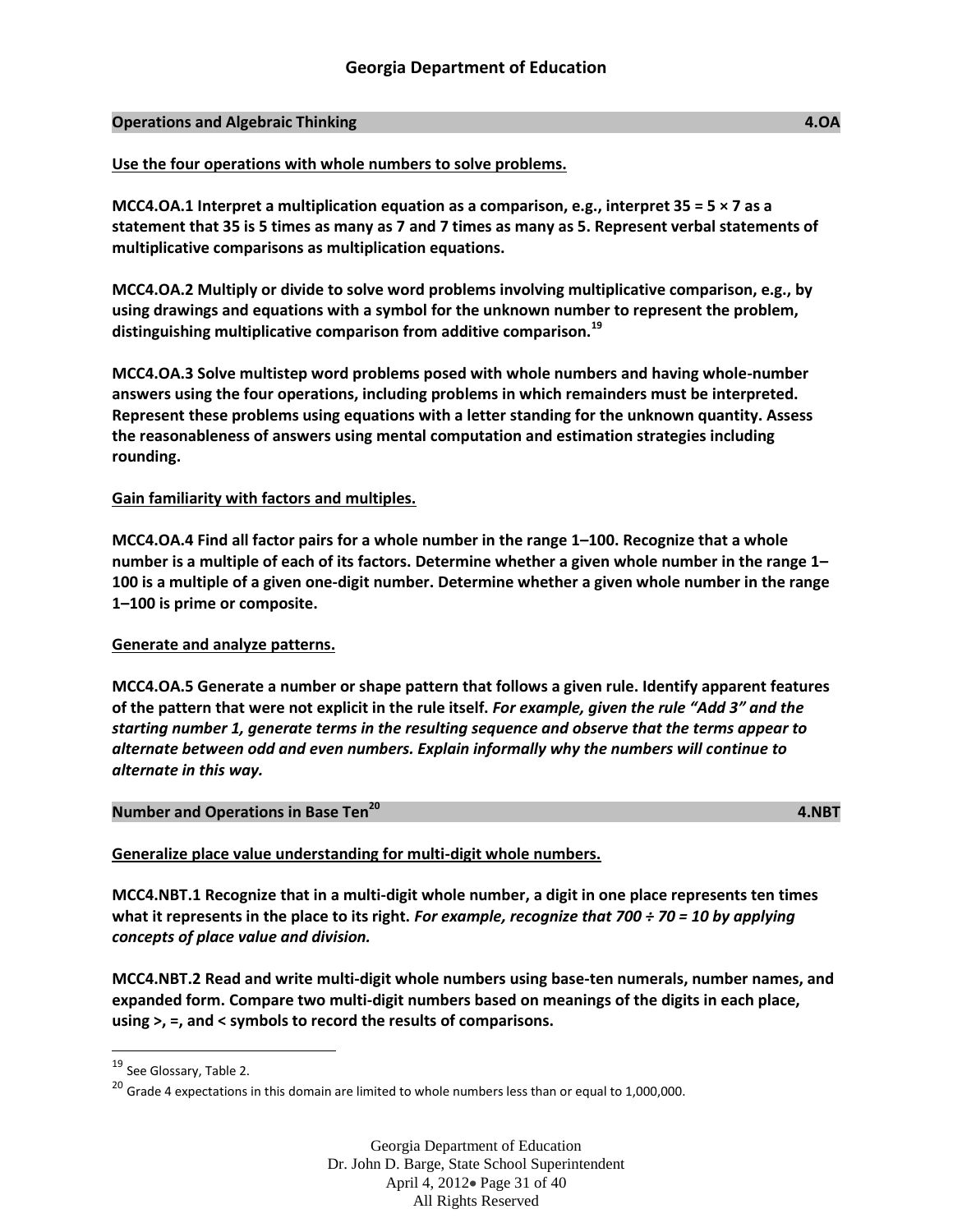#### **Operations and Algebraic Thinking 4.OA**

#### **Use the four operations with whole numbers to solve problems.**

**MCC4.OA.1 Interpret a multiplication equation as a comparison, e.g., interpret 35 = 5 × 7 as a statement that 35 is 5 times as many as 7 and 7 times as many as 5. Represent verbal statements of multiplicative comparisons as multiplication equations.**

**MCC4.OA.2 Multiply or divide to solve word problems involving multiplicative comparison, e.g., by using drawings and equations with a symbol for the unknown number to represent the problem, distinguishing multiplicative comparison from additive comparison.<sup>19</sup>**

**MCC4.OA.3 Solve multistep word problems posed with whole numbers and having whole-number answers using the four operations, including problems in which remainders must be interpreted. Represent these problems using equations with a letter standing for the unknown quantity. Assess the reasonableness of answers using mental computation and estimation strategies including rounding.**

#### **Gain familiarity with factors and multiples.**

**MCC4.OA.4 Find all factor pairs for a whole number in the range 1–100. Recognize that a whole number is a multiple of each of its factors. Determine whether a given whole number in the range 1– 100 is a multiple of a given one-digit number. Determine whether a given whole number in the range 1–100 is prime or composite.**

#### **Generate and analyze patterns.**

**MCC4.OA.5 Generate a number or shape pattern that follows a given rule. Identify apparent features of the pattern that were not explicit in the rule itself.** *For example, given the rule "Add 3" and the starting number 1, generate terms in the resulting sequence and observe that the terms appear to alternate between odd and even numbers. Explain informally why the numbers will continue to alternate in this way.*

## **Number and Operations in Base Ten<sup>20</sup>**

 **4.NBT**

## **Generalize place value understanding for multi-digit whole numbers.**

**MCC4.NBT.1 Recognize that in a multi-digit whole number, a digit in one place represents ten times what it represents in the place to its right.** *For example, recognize that 700 ÷ 70 = 10 by applying concepts of place value and division.*

**MCC4.NBT.2 Read and write multi-digit whole numbers using base-ten numerals, number names, and expanded form. Compare two multi-digit numbers based on meanings of the digits in each place, using >, =, and < symbols to record the results of comparisons.**

l

<sup>19</sup> See Glossary, Table 2.

 $20$  Grade 4 expectations in this domain are limited to whole numbers less than or equal to 1,000,000.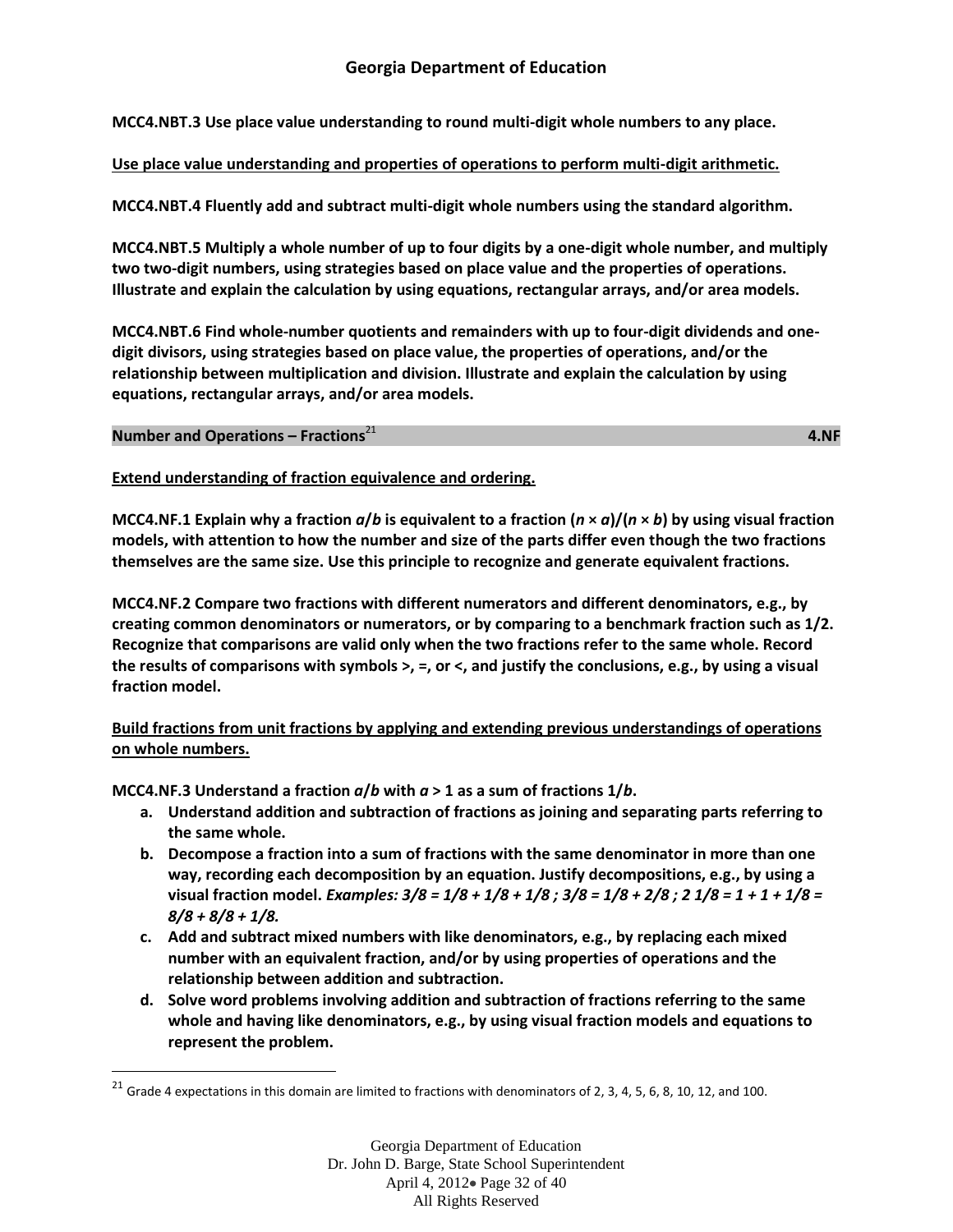**MCC4.NBT.3 Use place value understanding to round multi-digit whole numbers to any place.**

## **Use place value understanding and properties of operations to perform multi-digit arithmetic.**

**MCC4.NBT.4 Fluently add and subtract multi-digit whole numbers using the standard algorithm.**

**MCC4.NBT.5 Multiply a whole number of up to four digits by a one-digit whole number, and multiply two two-digit numbers, using strategies based on place value and the properties of operations. Illustrate and explain the calculation by using equations, rectangular arrays, and/or area models.** 

**MCC4.NBT.6 Find whole-number quotients and remainders with up to four-digit dividends and onedigit divisors, using strategies based on place value, the properties of operations, and/or the relationship between multiplication and division. Illustrate and explain the calculation by using equations, rectangular arrays, and/or area models.**

#### **Number and Operations – Fractions**<sup>21</sup>

 $\overline{\phantom{a}}$ 

المالي المالي المالي المالي المالي المالي المالي المالي المالي المالي المالي المالي المالي المالي المالي المال<br>المالي المالي المالي المالي المالي المالي المالي المالي المالي المالي المالي المالي المالي المالي المالي ا

**Extend understanding of fraction equivalence and ordering.** 

**MCC4.NF.1 Explain why a fraction**  $a/b$  **is equivalent to a fraction**  $(n \times a)/(n \times b)$  **by using visual fraction models, with attention to how the number and size of the parts differ even though the two fractions themselves are the same size. Use this principle to recognize and generate equivalent fractions.**

**MCC4.NF.2 Compare two fractions with different numerators and different denominators, e.g., by creating common denominators or numerators, or by comparing to a benchmark fraction such as 1/2. Recognize that comparisons are valid only when the two fractions refer to the same whole. Record the results of comparisons with symbols >, =, or <, and justify the conclusions, e.g., by using a visual fraction model.**

## **Build fractions from unit fractions by applying and extending previous understandings of operations on whole numbers.**

**MCC4.NF.3 Understand a fraction** *a***/***b* **with** *a* **> 1 as a sum of fractions 1/***b***.**

- **a. Understand addition and subtraction of fractions as joining and separating parts referring to the same whole.**
- **b. Decompose a fraction into a sum of fractions with the same denominator in more than one way, recording each decomposition by an equation. Justify decompositions, e.g., by using a visual fraction model.** *Examples: 3/8 = 1/8 + 1/8 + 1/8 ; 3/8 = 1/8 + 2/8 ; 2 1/8 = 1 + 1 + 1/8 = 8/8 + 8/8 + 1/8.*
- **c. Add and subtract mixed numbers with like denominators, e.g., by replacing each mixed number with an equivalent fraction, and/or by using properties of operations and the relationship between addition and subtraction.**
- **d. Solve word problems involving addition and subtraction of fractions referring to the same whole and having like denominators, e.g., by using visual fraction models and equations to represent the problem.**

<sup>&</sup>lt;sup>21</sup> Grade 4 expectations in this domain are limited to fractions with denominators of 2, 3, 4, 5, 6, 8, 10, 12, and 100.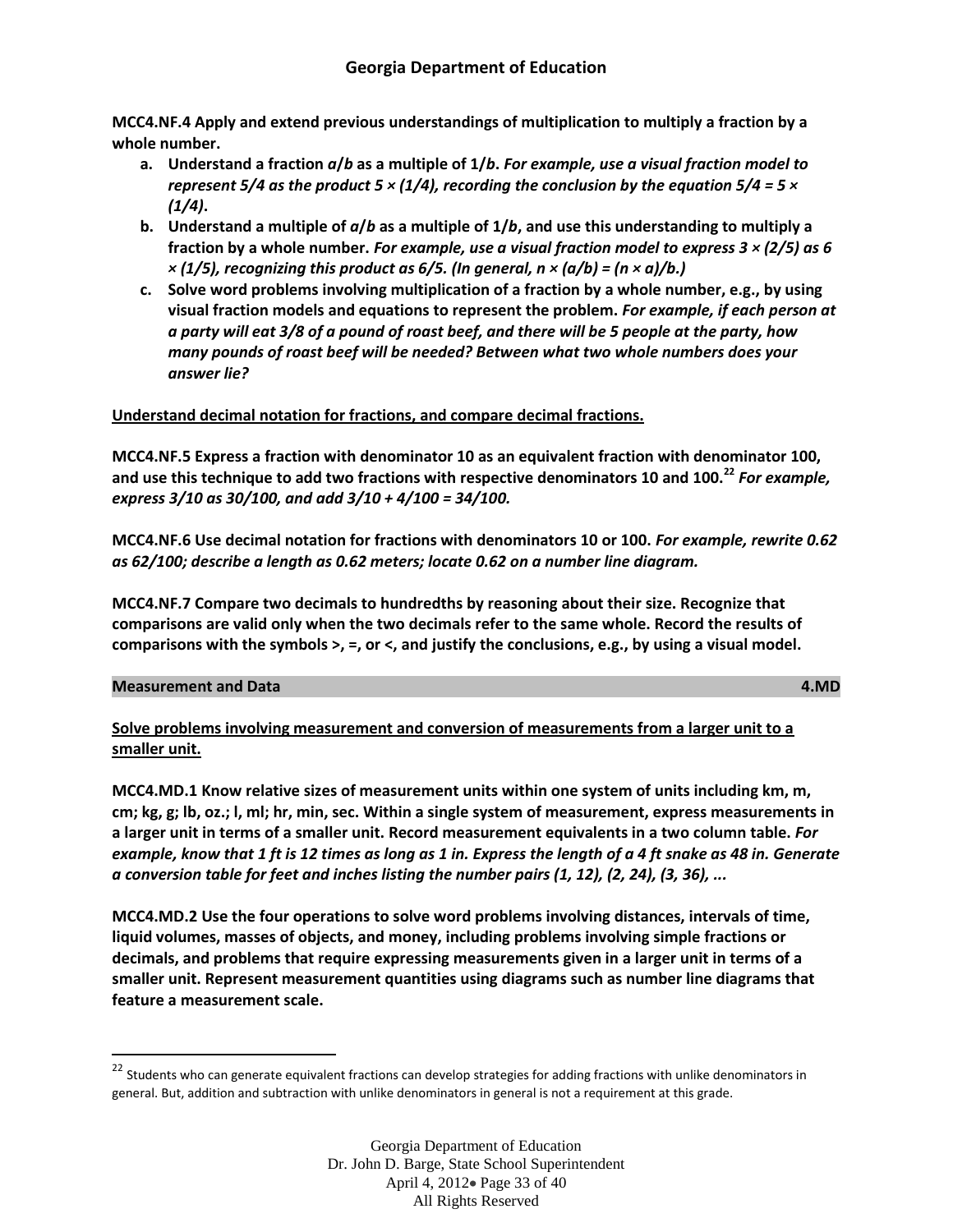**MCC4.NF.4 Apply and extend previous understandings of multiplication to multiply a fraction by a whole number.**

- **a. Understand a fraction** *a***/***b* **as a multiple of 1/***b***.** *For example, use a visual fraction model to represent 5/4 as the product 5 × (1/4), recording the conclusion by the equation 5/4 = 5 × (1/4)***.**
- **b. Understand a multiple of** *a***/***b* **as a multiple of 1/***b***, and use this understanding to multiply a fraction by a whole number.** *For example, use a visual fraction model to express 3 × (2/5) as 6*   $\times$  (1/5), recognizing this product as 6/5. (In general,  $n \times (a/b) = (n \times a)/b$ .)
- **c. Solve word problems involving multiplication of a fraction by a whole number, e.g., by using visual fraction models and equations to represent the problem.** *For example, if each person at a party will eat 3/8 of a pound of roast beef, and there will be 5 people at the party, how many pounds of roast beef will be needed? Between what two whole numbers does your answer lie?*

## **Understand decimal notation for fractions, and compare decimal fractions.**

**MCC4.NF.5 Express a fraction with denominator 10 as an equivalent fraction with denominator 100, and use this technique to add two fractions with respective denominators 10 and 100.<sup>22</sup>** *For example, express 3/10 as 30/100, and add 3/10 + 4/100 = 34/100.*

**MCC4.NF.6 Use decimal notation for fractions with denominators 10 or 100.** *For example, rewrite 0.62 as 62/100; describe a length as 0.62 meters; locate 0.62 on a number line diagram.*

**MCC4.NF.7 Compare two decimals to hundredths by reasoning about their size. Recognize that comparisons are valid only when the two decimals refer to the same whole. Record the results of comparisons with the symbols >, =, or <, and justify the conclusions, e.g., by using a visual model.**

## **Measurement and Data 4.MD**

 $\overline{\phantom{a}}$ 

**Solve problems involving measurement and conversion of measurements from a larger unit to a smaller unit.**

**MCC4.MD.1 Know relative sizes of measurement units within one system of units including km, m, cm; kg, g; lb, oz.; l, ml; hr, min, sec. Within a single system of measurement, express measurements in a larger unit in terms of a smaller unit. Record measurement equivalents in a two column table.** *For example, know that 1 ft is 12 times as long as 1 in. Express the length of a 4 ft snake as 48 in. Generate a conversion table for feet and inches listing the number pairs (1, 12), (2, 24), (3, 36), ...*

**MCC4.MD.2 Use the four operations to solve word problems involving distances, intervals of time, liquid volumes, masses of objects, and money, including problems involving simple fractions or decimals, and problems that require expressing measurements given in a larger unit in terms of a smaller unit. Represent measurement quantities using diagrams such as number line diagrams that feature a measurement scale.**

<sup>&</sup>lt;sup>22</sup> Students who can generate equivalent fractions can develop strategies for adding fractions with unlike denominators in general. But, addition and subtraction with unlike denominators in general is not a requirement at this grade.